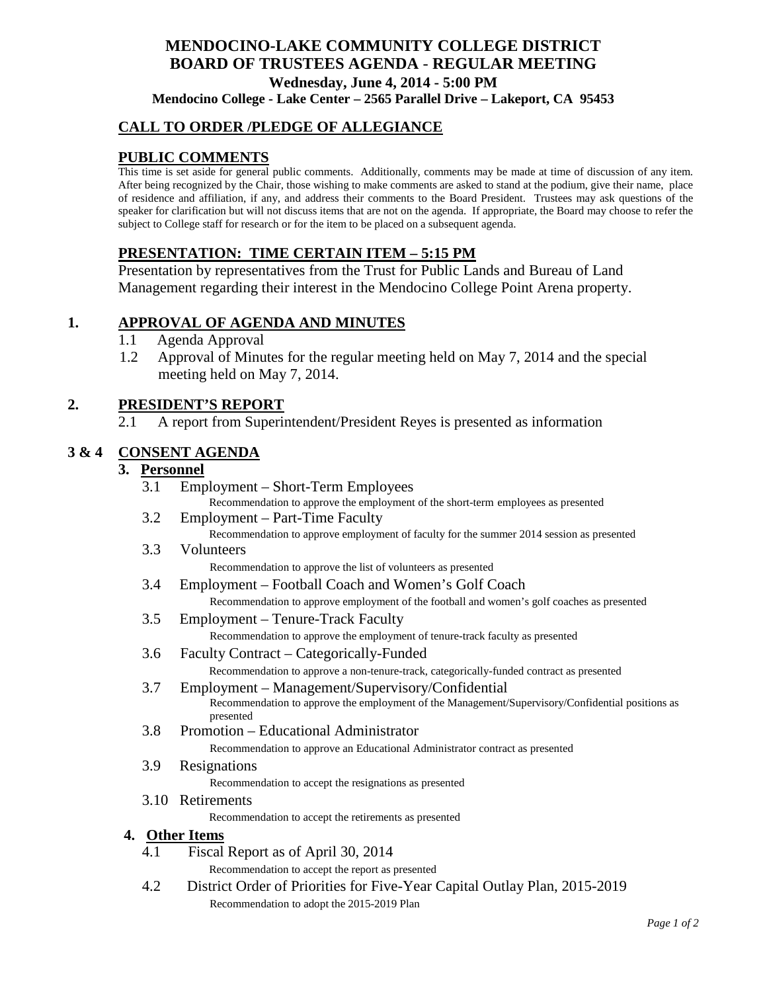# **MENDOCINO-LAKE COMMUNITY COLLEGE DISTRICT BOARD OF TRUSTEES AGENDA** - **REGULAR MEETING Wednesday, June 4, 2014 - 5:00 PM Mendocino College - Lake Center – 2565 Parallel Drive – Lakeport, CA 95453**

## **CALL TO ORDER /PLEDGE OF ALLEGIANCE**

## **PUBLIC COMMENTS**

This time is set aside for general public comments. Additionally, comments may be made at time of discussion of any item. After being recognized by the Chair, those wishing to make comments are asked to stand at the podium, give their name, place of residence and affiliation, if any, and address their comments to the Board President. Trustees may ask questions of the speaker for clarification but will not discuss items that are not on the agenda. If appropriate, the Board may choose to refer the subject to College staff for research or for the item to be placed on a subsequent agenda.

## **PRESENTATION: TIME CERTAIN ITEM – 5:15 PM**

Presentation by representatives from the Trust for Public Lands and Bureau of Land Management regarding their interest in the Mendocino College Point Arena property.

## **1. APPROVAL OF AGENDA AND MINUTES**

- 1.1 Agenda Approval
- 1.2 Approval of Minutes for the regular meeting held on May 7, 2014 and the special meeting held on May 7, 2014.

#### **2. PRESIDENT'S REPORT**

2.1 A report from Superintendent/President Reyes is presented as information

#### **3 & 4 CONSENT AGENDA**

### **3. Personnel**

- 3.1 Employment Short-Term Employees Recommendation to approve the employment of the short-term employees as presented
- 3.2 Employment Part-Time Faculty Recommendation to approve employment of faculty for the summer 2014 session as presented
- 3.3 Volunteers

Recommendation to approve the list of volunteers as presented

- 3.4 Employment Football Coach and Women's Golf Coach Recommendation to approve employment of the football and women's golf coaches as presented
- 3.5 Employment Tenure-Track Faculty Recommendation to approve the employment of tenure-track faculty as presented
- 3.6 Faculty Contract Categorically-Funded Recommendation to approve a non-tenure-track, categorically-funded contract as presented
- 3.7 Employment Management/Supervisory/Confidential Recommendation to approve the employment of the Management/Supervisory/Confidential positions as presented
- 3.8 Promotion Educational Administrator Recommendation to approve an Educational Administrator contract as presented
- 3.9 Resignations

Recommendation to accept the resignations as presented

3.10 Retirements Recommendation to accept the retirements as presented

#### **4. Other Items**

4.1 Fiscal Report as of April 30, 2014 Recommendation to accept the report as presented

4.2 District Order of Priorities for Five-Year Capital Outlay Plan, 2015-2019 Recommendation to adopt the 2015-2019 Plan